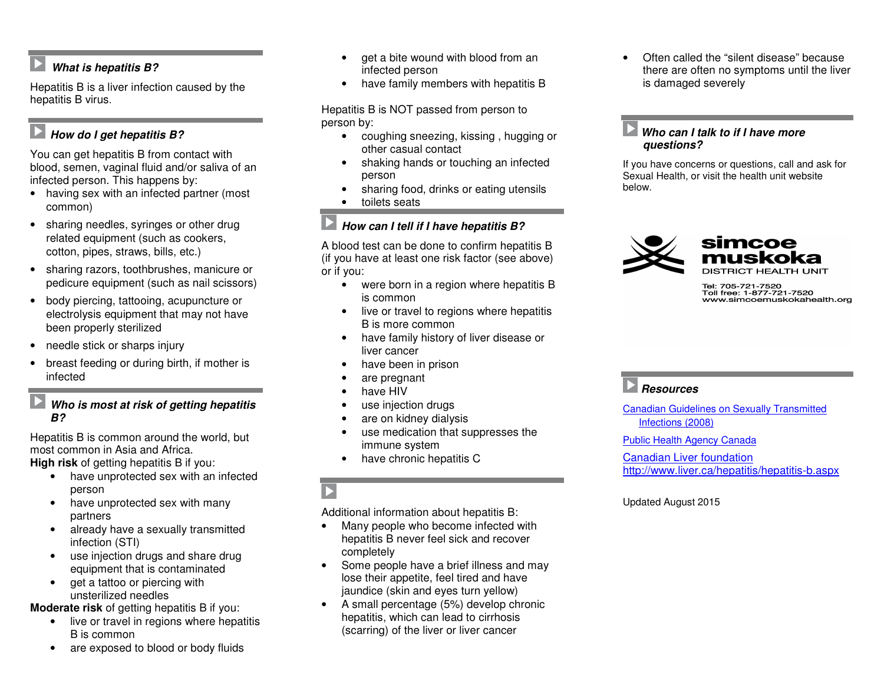## **What is hepatitis B?**

Hepatitis B is a liver infection caused by the hepatitis B virus.

## **E** How do I get hepatitis B?

You can get hepatitis B from contact with blood, semen, vaginal fluid and/or saliva of an infected person. This happens by:

- having sex with an infected partner (most common)
- sharing needles, syringes or other drug related equipment (such as cookers, cotton, pipes, straws, bills, etc.)
- sharing razors, toothbrushes, manicure or pedicure equipment (such as nail scissors)
- body piercing, tattooing, acupuncture or electrolysis equipment that may not have been properly sterilized
- needle stick or sharps injury
- breast feeding or during birth, if mother is infected

### **Who is most at risk of getting hepatitis B?**

Hepatitis B is common around the world, but most common in Asia and Africa.

**High risk** of getting hepatitis B if you:

- have unprotected sex with an infected person
- have unprotected sex with many partners
- already have a sexually transmitted infection (STI)
- use injection drugs and share drug equipment that is contaminated
- get a tattoo or piercing with unsterilized needles

**Moderate risk** of getting hepatitis B if you:

- live or travel in regions where hepatitis B is common
- are exposed to blood or body fluids
- get a bite wound with blood from an infected person
- have family members with hepatitis B

Hepatitis B is NOT passed from person to person by:

- coughing sneezing, kissing , hugging or other casual contact
- shaking hands or touching an infected person
- sharing food, drinks or eating utensils
- toilets seats

## **How can I tell if I have hepatitis B?**

A blood test can be done to confirm hepatitis B (if you have at least one risk factor (see above) or if you:

- were born in a region where hepatitis B is common
- live or travel to regions where hepatitis B is more common
- have family history of liver disease or liver cancer
- have been in prison
- are pregnant
- have HIV
- use injection drugs
- are on kidney dialysis
- use medication that suppresses the immune system
- have chronic hepatitis C

Additional information about hepatitis B:

- Many people who become infected with hepatitis B never feel sick and recover completely
- Some people have a brief illness and may lose their appetite, feel tired and have jaundice (skin and eyes turn yellow)
- A small percentage (5%) develop chronic hepatitis, which can lead to cirrhosis (scarring) of the liver or liver cancer

• Often called the "silent disease" because there are often no symptoms until the liver is damaged severely

### **Who can I talk to if I have more questions?**

If you have concerns or questions, call and ask forSexual Health, or visit the health unit website below.



Tel: 705-721-7520<br>Toll free: 1-877-721-7520 www.simcoemuskokahealth.org

# **Resources**

Canadian Guidelines on Sexually Transmitted Infections (2008)

Public Health Agency Canada

Canadian Liver foundationhttp://www.liver.ca/hepatitis/hepatitis-b.aspx

### Updated August 2015